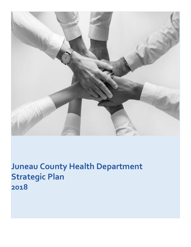

**Juneau County Health Department Strategic Plan 2018**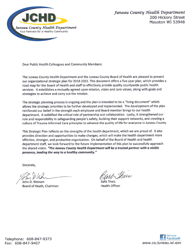

Dear Public Health Colleagues and Community Members:

The Juneau County Health Department and the Juneau County Board of Health are pleased to present our organizational strategic plan for 2018-2022. This document offers a five-year plan, which provides a road map for the Board of Health and staff to effectively provide quality countywide public health services. It establishes a mutually agreed upon mission, vision and core values, along with goals and strategies to achieve and carry out the mission.

The strategic planning process is ongoing and the plan is intended to be a "living document" which allows the strategic priorities to be further developed and implemented. The development of the plan reinforced our belief in the strength each employee and Board member brings to our health department. It solidified the critical role of partnership and collaboration. Lastly, it strengthened our role and responsibility in safeguarding people's safety, building their support networks, and creating a culture of Trauma Informed Care principles to advance the quality of life for everyone in Juneau County.

This Strategic Plan reflects on the strengths of the health department, which we are proud of. It also provides direction and opportunities to make changes, which will make the health department more effective, stronger, and productive organization. On behalf of the Board of Health and health department staff, we look forward to the future implementation of this plan to successfully approach the shared vision. "The Juneau County Health Department will be a trusted partner with a visible presence, leading the way to a healthy community."

Sincerely,

John D. Wenum Board of Heath, Chairman

Thees

**Health Officer** 

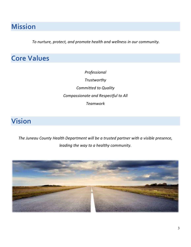# **Mission**

*To nurture, protect, and promote health and wellness in our community.*

# **Core Values**

*Professional Trustworthy Committed to Quality Compassionate and Respectful to All Teamwork*

# **Vision**

*The Juneau County Health Department will be a trusted partner with a visible presence, leading the way to a healthy community.*

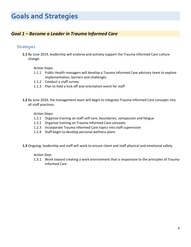# **Goals and Strategies**

## *Goal 1 – Become a Leader in Trauma Informed Care*

### **Strategies**

**1.1** By June 2019, leadership will endorse and actively support the Trauma Informed Care culture change.

#### *Action Steps:*

- 1.1.1 Public Health managers will develop a Trauma Informed Care advisory team to explore implementation, barriers and challenges
- 1.1.2 Conduct a staff survey
- 1.1.3 Plan to hold a kick-off and orientation event for staff
- **1.2** By June 2020, the management team will begin to integrate Trauma Informed Care concepts into all staff practices.

#### *Action Steps:*

- 1.2.1 Organize training on staff self-care, boundaries, compassion and fatigue
- 1.2.2 Organize training on Trauma Informed Care concepts
- 1.2.3 Incorporate Trauma Informed Care topics into staff supervision
- 1.2.4 Staff begin to develop personal wellness plans

**1.3** Ongoing, leadership and staff will work to ensure client and staff physical and emotional safety.

#### *Action Step:*

1.3.1 Work toward creating a work environment that is responsive to the principles of Trauma Informed Care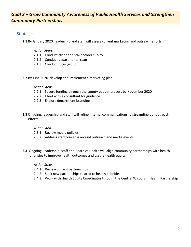## *Goal 2 – Grow Community Awareness of Public Health Services and Strengthen Community Partnerships*

### **Strategies**

**2.1** By January 2020, leadership and staff will assess current marketing and outreach efforts.

#### *Action Steps:*

- 2.1.1 Conduct client and stakeholder survey
- 2.1.2 Conduct departmental scan
- 2.1.3 Conduct focus group
- **2.2** By June 2020, develop and implement a marketing plan.

#### *Action Steps:*

- 2.2.1 Secure funding through the county budget process by November 2020
- 2.2.2 Meet with a consultant for guidance
- 2.2.3 Explore department branding
- **2.3** Ongoing, leadership and staff will refine internal communications to streamline our outreach efforts.

#### *Action Steps:*

- 2.3.1 Review media policies
- 2.3.2 Address staff concerns around outreach and media events
- **2.4** Ongoing, leadership, staff and Board of Health will align community partnerships with health priorities to improve health outcomes and assure health equity.

#### *Action Steps:*

- 2.4.1 Review current partnerships
- 2.4.2 Seek new partnerships related to health priorities
- 2.4.3 Work with Health Equity Coordinator through the Central Wisconsin Health Partnership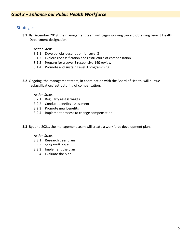### **Strategies**

**3.1** By December 2019, the management team will begin working toward obtaining Level 3 Health Department designation.

*Action Steps:*

- 3.1.1 Develop jobs description for Level 3
- 3.1.2 Explore reclassification and restructure of compensation
- 3.1.3 Prepare for a Level 3 responsive 140 review
- 3.1.4 Promote and sustain Level 3 programming
- **3.2** Ongoing, the management team, in coordination with the Board of Health, will pursue reclassification/restructuring of compensation.

*Action Steps:*

- 3.2.1 Regularly assess wages
- 3.2.2 Conduct benefits assessment
- 3.2.3 Promote new benefits
- 3.2.4 Implement process to change compensation
- **3.3** By June 2021, the management team will create a workforce development plan.

#### *Action Steps:*

- 3.3.1 Research peer plans
- 3.3.2 Seek staff input
- 3.3.3 Implement the plan
- 3.3.4 Evaluate the plan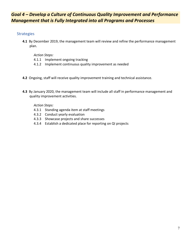# *Goal 4 – Develop a Culture of Continuous Quality Improvement and Performance Management that is Fully Integrated into all Programs and Processes*

## Strategies

**4.1** By December 2019, the management team will review and refine the performance management plan.

### *Action Steps:*

- 4.1.1 Implement ongoing tracking
- 4.1.2 Implement continuous quality improvement as needed
- **4.2** Ongoing, staff will receive quality improvement training and technical assistance.
- **4.3** By January 2020, the management team will include all staff in performance management and quality improvement activities.

### *Action Steps:*

- 4.3.1 Standing agenda item at staff meetings
- 4.3.2 Conduct yearly evaluation
- 4.3.3 Showcase projects and share successes
- 4.3.4 Establish a dedicated place for reporting on QI projects